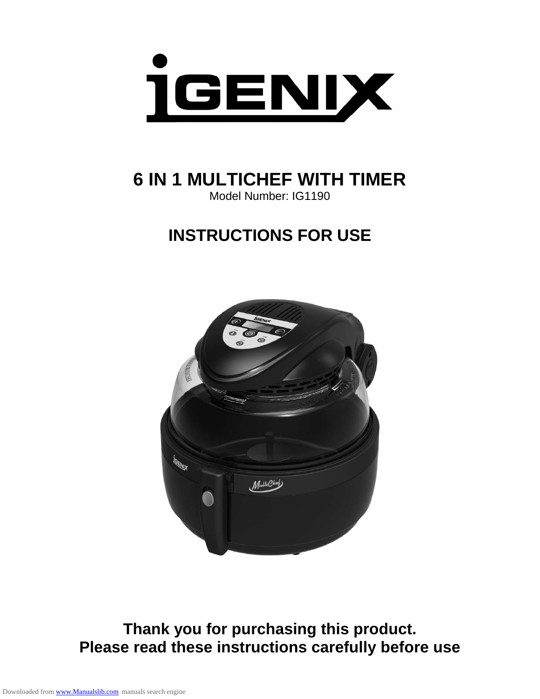

**6 IN 1 MULTICHEF WITH TIMER**  Model Number: IG1190

# **INSTRUCTIONS FOR USE**



**Thank you for purchasing this product. Please read these instructions carefully before use**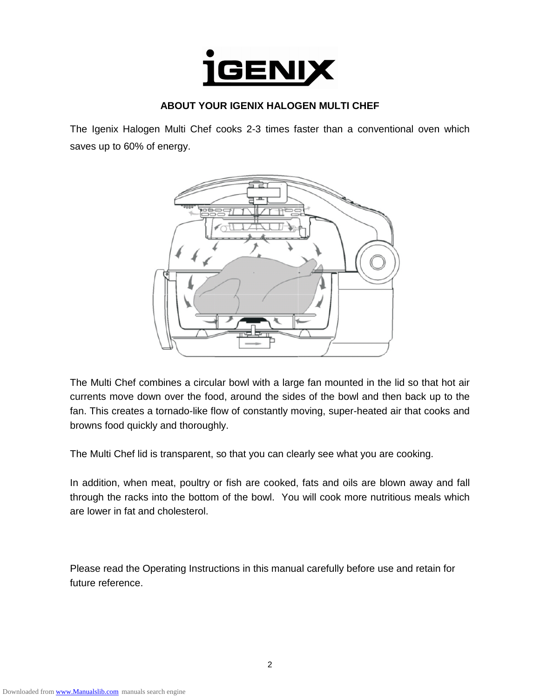

### **ABOUT YOUR IGENIX HALOGEN MULTI CHEF**

The Igenix Halogen Multi Chef cooks 2-3 times faster than a conventional oven which saves up to 60% of energy.



The Multi Chef combines a circular bowl with a large fan mounted in the lid so that hot air currents move down over the food, around the sides of the bowl and then back up to the fan. This creates a tornado-like flow of constantly moving, super-heated air that cooks and browns food quickly and thoroughly.

The Multi Chef lid is transparent, so that you can clearly see what you are cooking.

In addition, when meat, poultry or fish are cooked, fats and oils are blown away and fall through the racks into the bottom of the bowl. You will cook more nutritious meals which are lower in fat and cholesterol.

Please read the Operating Instructions in this manual carefully before use and retain for future reference.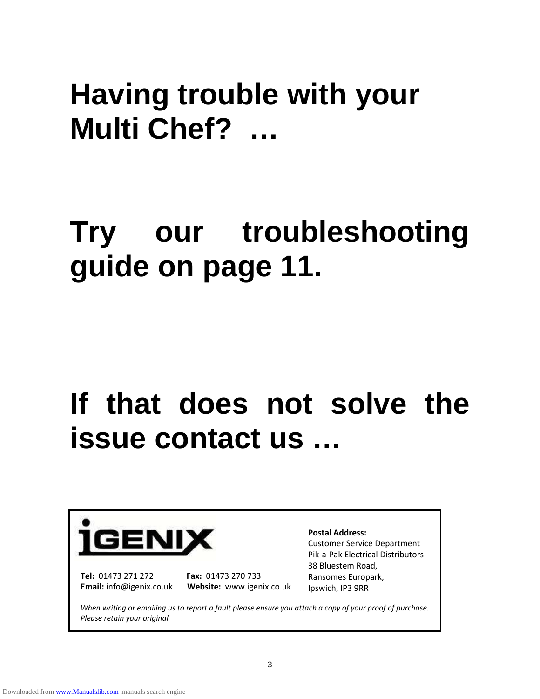# **Having trouble with your Multi Chef? …**

# **Try our troubleshooting guide on page 11.**

# If that does not solve the **issue contact us …**



**Tel:** 01473 271 272 **Fax:** 01473 270 733

**Email:** info@igenix.co.uk **Website:** www.igenix.co.uk

#### **Postal Address:**

Customer Service Department Pik-a-Pak Electrical Distributors 38 Bluestem Road, Ransomes Europark, Ipswich, IP3 9RR

*When writing or emailing us to report a fault please ensure you attach a copy of your proof of purchase. Please retain your original*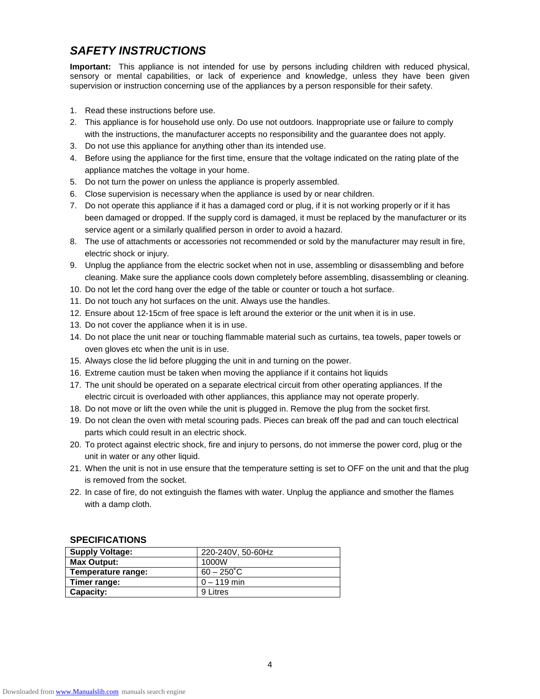## **SAFETY INSTRUCTIONS**

**Important:** This appliance is not intended for use by persons including children with reduced physical, sensory or mental capabilities, or lack of experience and knowledge, unless they have been given supervision or instruction concerning use of the appliances by a person responsible for their safety.

- 1. Read these instructions before use.
- 2. This appliance is for household use only. Do use not outdoors. Inappropriate use or failure to comply with the instructions, the manufacturer accepts no responsibility and the guarantee does not apply.
- 3. Do not use this appliance for anything other than its intended use.
- 4. Before using the appliance for the first time, ensure that the voltage indicated on the rating plate of the appliance matches the voltage in your home.
- 5. Do not turn the power on unless the appliance is properly assembled.
- 6. Close supervision is necessary when the appliance is used by or near children.
- 7. Do not operate this appliance if it has a damaged cord or plug, if it is not working properly or if it has been damaged or dropped. If the supply cord is damaged, it must be replaced by the manufacturer or its service agent or a similarly qualified person in order to avoid a hazard.
- 8. The use of attachments or accessories not recommended or sold by the manufacturer may result in fire, electric shock or injury.
- 9. Unplug the appliance from the electric socket when not in use, assembling or disassembling and before cleaning. Make sure the appliance cools down completely before assembling, disassembling or cleaning.
- 10. Do not let the cord hang over the edge of the table or counter or touch a hot surface.
- 11. Do not touch any hot surfaces on the unit. Always use the handles.
- 12. Ensure about 12-15cm of free space is left around the exterior or the unit when it is in use.
- 13. Do not cover the appliance when it is in use.
- 14. Do not place the unit near or touching flammable material such as curtains, tea towels, paper towels or oven gloves etc when the unit is in use.
- 15. Always close the lid before plugging the unit in and turning on the power.
- 16. Extreme caution must be taken when moving the appliance if it contains hot liquids
- 17. The unit should be operated on a separate electrical circuit from other operating appliances. If the electric circuit is overloaded with other appliances, this appliance may not operate properly.
- 18. Do not move or lift the oven while the unit is plugged in. Remove the plug from the socket first.
- 19. Do not clean the oven with metal scouring pads. Pieces can break off the pad and can touch electrical parts which could result in an electric shock.
- 20. To protect against electric shock, fire and injury to persons, do not immerse the power cord, plug or the unit in water or any other liquid.
- 21. When the unit is not in use ensure that the temperature setting is set to OFF on the unit and that the plug is removed from the socket.
- 22. In case of fire, do not extinguish the flames with water. Unplug the appliance and smother the flames with a damp cloth.

#### **SPECIFICATIONS**

| <b>Supply Voltage:</b> | 220-240V, 50-60Hz    |
|------------------------|----------------------|
| Max Output:            | 1000W                |
| Temperature range:     | $60 - 250^{\circ}$ C |
| Timer range:           | $0 - 119$ min        |
| <b>Capacity:</b>       | 9 Litres             |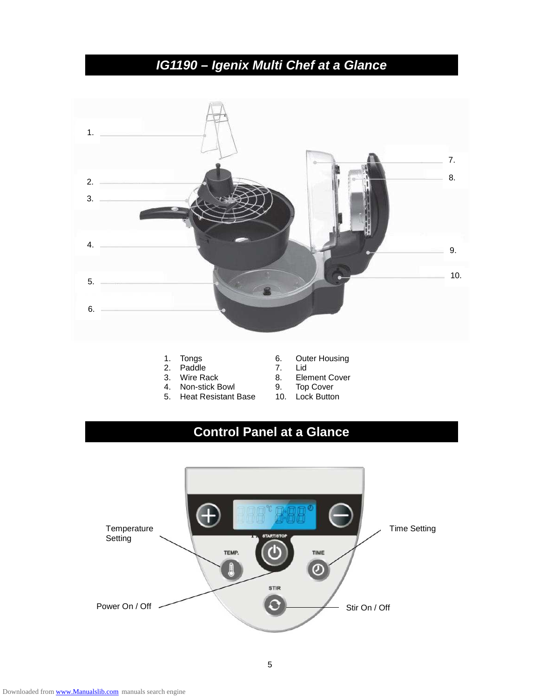# **IG1190 – Igenix Multi Chef at a Glance**



- 
- Tongs<br>Paddle
- 
- 
- 4. Non-stick Bowl 9. Top Cover<br>5. Heat Resistant Base 10. Lock Button 5. Heat Resistant Base
- 1. Tongs 6. Outer Housing<br>2. Paddle 1. T. Lid
	-
- 3. Wire Rack 8. Element Cover
	-
	-

# **Control Panel at a Glance**

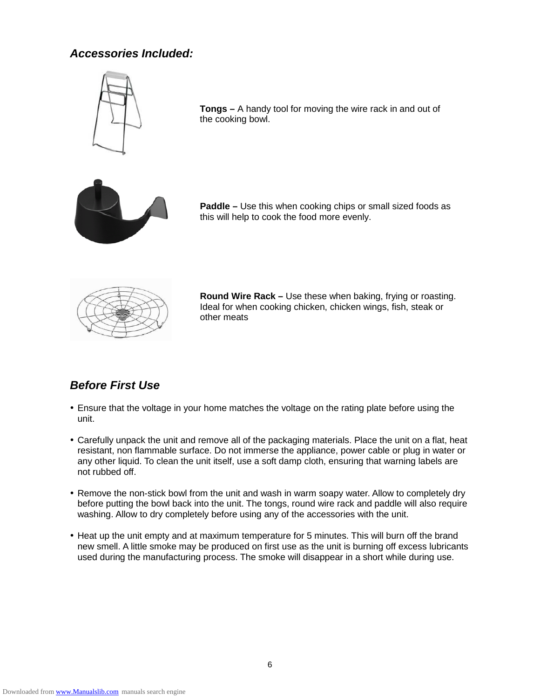# **Accessories Included:**



**Tongs –** A handy tool for moving the wire rack in and out of the cooking bowl.



**Paddle –** Use this when cooking chips or small sized foods as this will help to cook the food more evenly.



**Round Wire Rack –** Use these when baking, frying or roasting. Ideal for when cooking chicken, chicken wings, fish, steak or other meats

# **Before First Use**

- Ensure that the voltage in your home matches the voltage on the rating plate before using the unit.
- Carefully unpack the unit and remove all of the packaging materials. Place the unit on a flat, heat resistant, non flammable surface. Do not immerse the appliance, power cable or plug in water or any other liquid. To clean the unit itself, use a soft damp cloth, ensuring that warning labels are not rubbed off.
- Remove the non-stick bowl from the unit and wash in warm soapy water. Allow to completely dry before putting the bowl back into the unit. The tongs, round wire rack and paddle will also require washing. Allow to dry completely before using any of the accessories with the unit.
- Heat up the unit empty and at maximum temperature for 5 minutes. This will burn off the brand new smell. A little smoke may be produced on first use as the unit is burning off excess lubricants used during the manufacturing process. The smoke will disappear in a short while during use.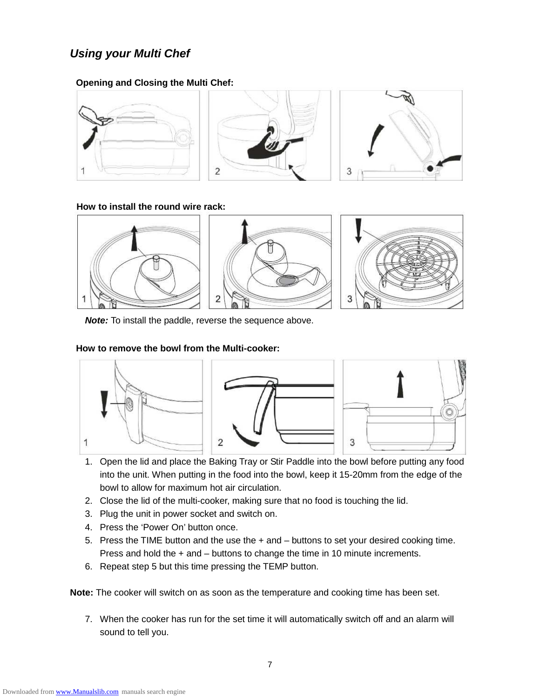# **Using your Multi Chef**

#### **Opening and Closing the Multi Chef:**



#### **How to install the round wire rack:**



**Note:** To install the paddle, reverse the sequence above.

#### **How to remove the bowl from the Multi-cooker:**



- 1. Open the lid and place the Baking Tray or Stir Paddle into the bowl before putting any food into the unit. When putting in the food into the bowl, keep it 15-20mm from the edge of the bowl to allow for maximum hot air circulation.
- 2. Close the lid of the multi-cooker, making sure that no food is touching the lid.
- 3. Plug the unit in power socket and switch on.
- 4. Press the 'Power On' button once.
- 5. Press the TIME button and the use the + and buttons to set your desired cooking time. Press and hold the + and – buttons to change the time in 10 minute increments.
- 6. Repeat step 5 but this time pressing the TEMP button.

**Note:** The cooker will switch on as soon as the temperature and cooking time has been set.

7. When the cooker has run for the set time it will automatically switch off and an alarm will sound to tell you.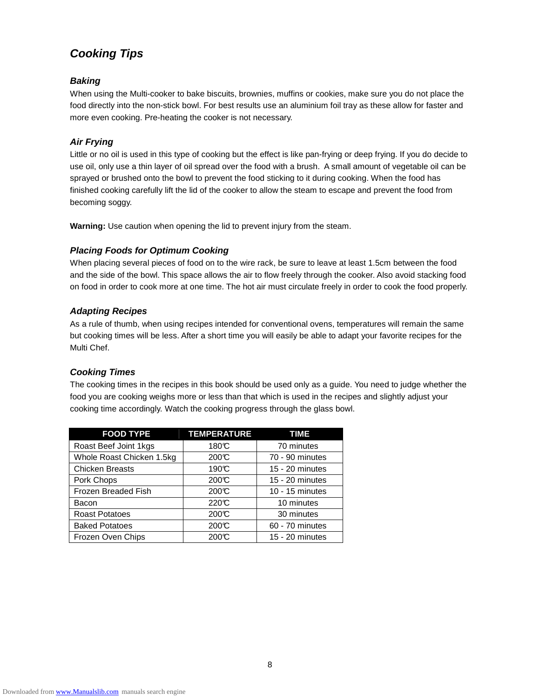# **Cooking Tips**

#### **Baking**

When using the Multi-cooker to bake biscuits, brownies, muffins or cookies, make sure you do not place the food directly into the non-stick bowl. For best results use an aluminium foil tray as these allow for faster and more even cooking. Pre-heating the cooker is not necessary.

#### **Air Frying**

Little or no oil is used in this type of cooking but the effect is like pan-frying or deep frying. If you do decide to use oil, only use a thin layer of oil spread over the food with a brush. A small amount of vegetable oil can be sprayed or brushed onto the bowl to prevent the food sticking to it during cooking. When the food has finished cooking carefully lift the lid of the cooker to allow the steam to escape and prevent the food from becoming soggy.

**Warning:** Use caution when opening the lid to prevent injury from the steam.

#### **Placing Foods for Optimum Cooking**

When placing several pieces of food on to the wire rack, be sure to leave at least 1.5cm between the food and the side of the bowl. This space allows the air to flow freely through the cooker. Also avoid stacking food on food in order to cook more at one time. The hot air must circulate freely in order to cook the food properly.

#### **Adapting Recipes**

As a rule of thumb, when using recipes intended for conventional ovens, temperatures will remain the same but cooking times will be less. After a short time you will easily be able to adapt your favorite recipes for the Multi Chef.

#### **Cooking Times**

The cooking times in the recipes in this book should be used only as a guide. You need to judge whether the food you are cooking weighs more or less than that which is used in the recipes and slightly adjust your cooking time accordingly. Watch the cooking progress through the glass bowl.

| <b>FOOD TYPE</b>          | <b>TEMPERATURE</b> | <b>TIME</b>       |
|---------------------------|--------------------|-------------------|
| Roast Beef Joint 1kgs     | 180°C              | 70 minutes        |
| Whole Roast Chicken 1.5kg | 200C               | 70 - 90 minutes   |
| <b>Chicken Breasts</b>    | 190C               | $15 - 20$ minutes |
| Pork Chops                | 200C               | $15 - 20$ minutes |
| Frozen Breaded Fish       | 200C               | $10 - 15$ minutes |
| Bacon                     | 220C               | 10 minutes        |
| <b>Roast Potatoes</b>     | 200C               | 30 minutes        |
| <b>Baked Potatoes</b>     | 200C               | 60 - 70 minutes   |
| Frozen Oven Chips         | 200C               | $15 - 20$ minutes |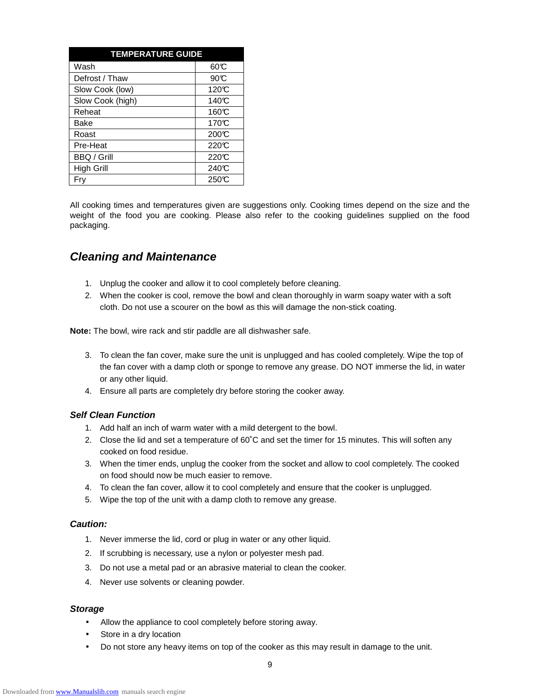| <b>TEMPERATURE GUIDE</b> |                    |  |
|--------------------------|--------------------|--|
| Wash                     | 000                |  |
| Defrost / Thaw           | 90C                |  |
| Slow Cook (low)          | 120C               |  |
| Slow Cook (high)         | 140C               |  |
| Reheat                   | 160C               |  |
| Bake                     | 170 <sup>°</sup> C |  |
| Roast                    | 200C               |  |
| Pre-Heat                 | 220C               |  |
| <b>BBQ / Grill</b>       | 220C               |  |
| <b>High Grill</b>        | 240°C              |  |
| Frv                      | 250C               |  |

All cooking times and temperatures given are suggestions only. Cooking times depend on the size and the weight of the food you are cooking. Please also refer to the cooking guidelines supplied on the food packaging.

## **Cleaning and Maintenance**

- 1. Unplug the cooker and allow it to cool completely before cleaning.
- 2. When the cooker is cool, remove the bowl and clean thoroughly in warm soapy water with a soft cloth. Do not use a scourer on the bowl as this will damage the non-stick coating.

**Note:** The bowl, wire rack and stir paddle are all dishwasher safe.

- 3. To clean the fan cover, make sure the unit is unplugged and has cooled completely. Wipe the top of the fan cover with a damp cloth or sponge to remove any grease. DO NOT immerse the lid, in water or any other liquid.
- 4. Ensure all parts are completely dry before storing the cooker away.

#### **Self Clean Function**

- 1. Add half an inch of warm water with a mild detergent to the bowl.
- 2. Close the lid and set a temperature of 60˚C and set the timer for 15 minutes. This will soften any cooked on food residue.
- 3. When the timer ends, unplug the cooker from the socket and allow to cool completely. The cooked on food should now be much easier to remove.
- 4. To clean the fan cover, allow it to cool completely and ensure that the cooker is unplugged.
- 5. Wipe the top of the unit with a damp cloth to remove any grease.

#### **Caution:**

- 1. Never immerse the lid, cord or plug in water or any other liquid.
- 2. If scrubbing is necessary, use a nylon or polyester mesh pad.
- 3. Do not use a metal pad or an abrasive material to clean the cooker.
- 4. Never use solvents or cleaning powder.

#### **Storage**

- Allow the appliance to cool completely before storing away.
- Store in a dry location
- Do not store any heavy items on top of the cooker as this may result in damage to the unit.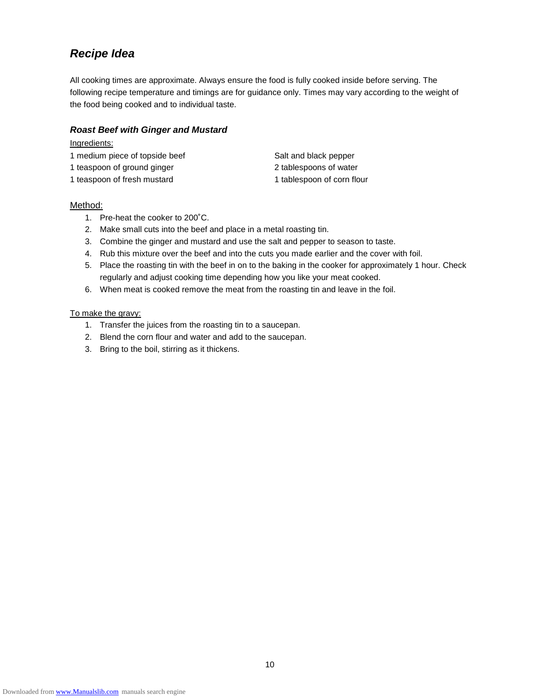# **Recipe Idea**

All cooking times are approximate. Always ensure the food is fully cooked inside before serving. The following recipe temperature and timings are for guidance only. Times may vary according to the weight of the food being cooked and to individual taste.

#### **Roast Beef with Ginger and Mustard**

#### Ingredients:

- 1 medium piece of topside beef Salt and black pepper
- 1 teaspoon of ground ginger example 2 tablespoons of water
- 1 teaspoon of fresh mustard 1 tablespoon of corn flour

#### Method:

- 1. Pre-heat the cooker to 200˚C.
- 2. Make small cuts into the beef and place in a metal roasting tin.
- 3. Combine the ginger and mustard and use the salt and pepper to season to taste.
- 4. Rub this mixture over the beef and into the cuts you made earlier and the cover with foil.
- 5. Place the roasting tin with the beef in on to the baking in the cooker for approximately 1 hour. Check regularly and adjust cooking time depending how you like your meat cooked.
- 6. When meat is cooked remove the meat from the roasting tin and leave in the foil.

#### To make the gravy:

- 1. Transfer the juices from the roasting tin to a saucepan.
- 2. Blend the corn flour and water and add to the saucepan.
- 3. Bring to the boil, stirring as it thickens.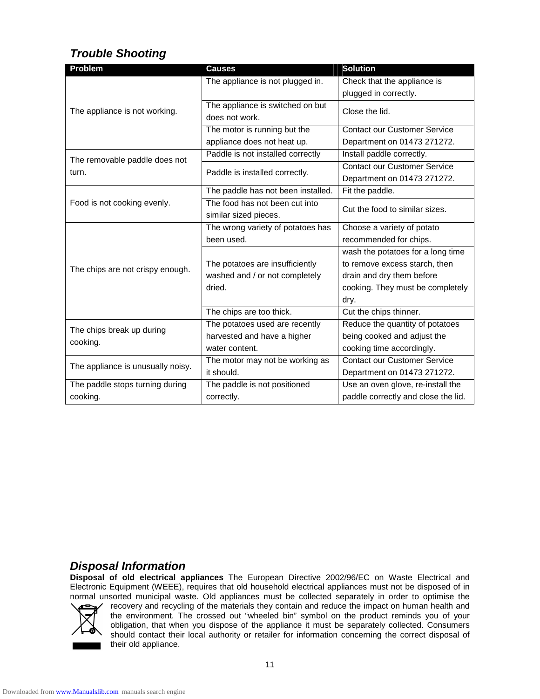# **Trouble Shooting**

| Problem                               | <b>Causes</b>                      | <b>Solution</b>                     |  |
|---------------------------------------|------------------------------------|-------------------------------------|--|
| The appliance is not working.         | The appliance is not plugged in.   | Check that the appliance is         |  |
|                                       |                                    | plugged in correctly.               |  |
|                                       | The appliance is switched on but   | Close the lid.                      |  |
|                                       | does not work.                     |                                     |  |
|                                       | The motor is running but the       | <b>Contact our Customer Service</b> |  |
|                                       | appliance does not heat up.        | Department on 01473 271272.         |  |
| The removable paddle does not         | Paddle is not installed correctly  | Install paddle correctly.           |  |
| turn.                                 | Paddle is installed correctly.     | <b>Contact our Customer Service</b> |  |
|                                       |                                    | Department on 01473 271272.         |  |
| Food is not cooking evenly.           | The paddle has not been installed. | Fit the paddle.                     |  |
|                                       | The food has not been cut into     | Cut the food to similar sizes.      |  |
|                                       | similar sized pieces.              |                                     |  |
| The chips are not crispy enough.      | The wrong variety of potatoes has  | Choose a variety of potato          |  |
|                                       | been used.                         | recommended for chips.              |  |
|                                       |                                    | wash the potatoes for a long time   |  |
|                                       | The potatoes are insufficiently    | to remove excess starch, then       |  |
|                                       | washed and / or not completely     | drain and dry them before           |  |
|                                       | dried.                             | cooking. They must be completely    |  |
|                                       |                                    | dry.                                |  |
|                                       | The chips are too thick.           | Cut the chips thinner.              |  |
| The chips break up during<br>cooking. | The potatoes used are recently     | Reduce the quantity of potatoes     |  |
|                                       | harvested and have a higher        | being cooked and adjust the         |  |
|                                       | water content.                     | cooking time accordingly.           |  |
| The appliance is unusually noisy.     | The motor may not be working as    | <b>Contact our Customer Service</b> |  |
|                                       | it should.                         | Department on 01473 271272.         |  |
| The paddle stops turning during       | The paddle is not positioned       | Use an oven glove, re-install the   |  |
| cooking.                              | correctly.                         | paddle correctly and close the lid. |  |

### **Disposal Information**

**Disposal of old electrical appliances** The European Directive 2002/96/EC on Waste Electrical and Electronic Equipment (WEEE), requires that old household electrical appliances must not be disposed of in normal unsorted municipal waste. Old appliances must be collected separately in order to optimise the



recovery and recycling of the materials they contain and reduce the impact on human health and the environment. The crossed out "wheeled bin" symbol on the product reminds you of your obligation, that when you dispose of the appliance it must be separately collected. Consumers should contact their local authority or retailer for information concerning the correct disposal of their old appliance.